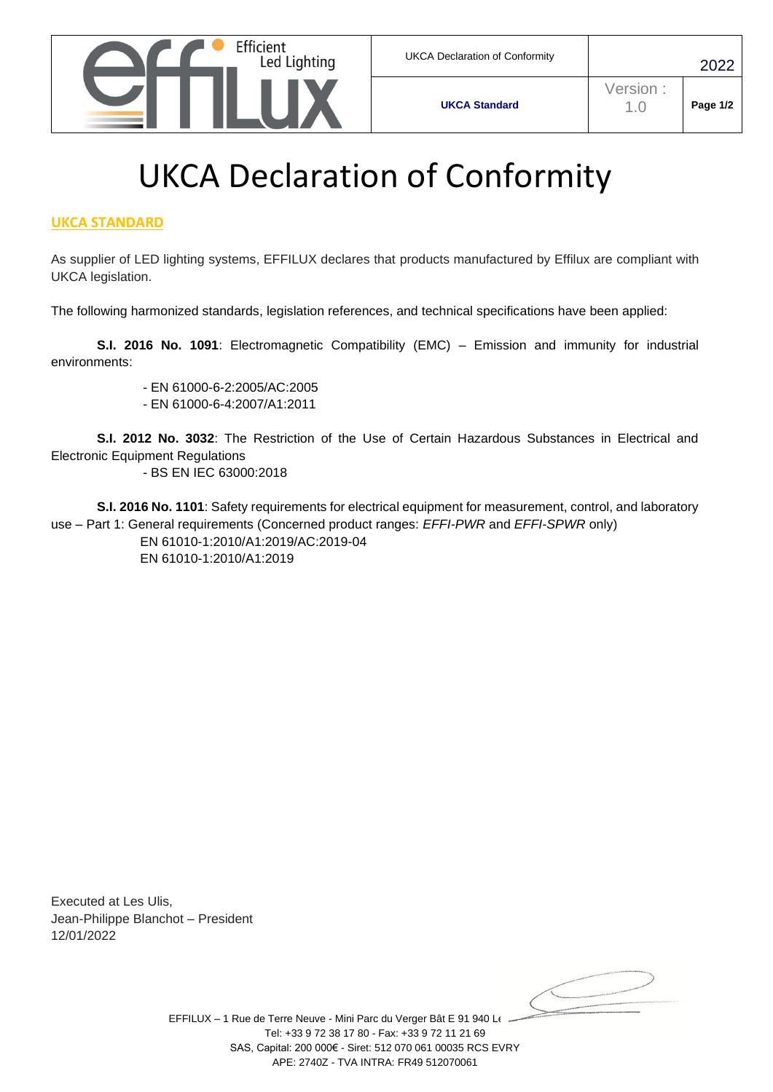

**UKCA Standard**

## UKCA Declaration of Conformity

## **UKCA STANDARD**

As supplier of LED lighting systems, EFFILUX declares that products manufactured by Effilux are compliant with UKCA legislation.

The following harmonized standards, legislation references, and technical specifications have been applied:

**S.I. 2016 No. 1091**: Electromagnetic Compatibility (EMC) – Emission and immunity for industrial environments:

> - EN 61000-6-2:2005/AC:2005 - EN 61000-6-4:2007/A1:2011

**S.I. 2012 No. 3032**: The Restriction of the Use of Certain Hazardous Substances in Electrical and Electronic Equipment Regulations

- BS EN IEC 63000:2018

**S.I. 2016 No. 1101**: Safety requirements for electrical equipment for measurement, control, and laboratory use – Part 1: General requirements (Concerned product ranges: *EFFI-PWR* and *EFFI-SPWR* only) EN 61010-1:2010/A1:2019/AC:2019-04

EN 61010-1:2010/A1:2019

Executed at Les Ulis, Jean-Philippe Blanchot – President 12/01/2022

EFFILUX - 1 Rue de Terre Neuve - Mini Parc du Verger Bât E 91 940 Le Tel: +33 9 72 38 17 80 - Fax: +33 9 72 11 21 69 SAS, Capital: 200 000€ - Siret: 512 070 061 00035 RCS EVRY APE: 2740Z - TVA INTRA: FR49 512070061